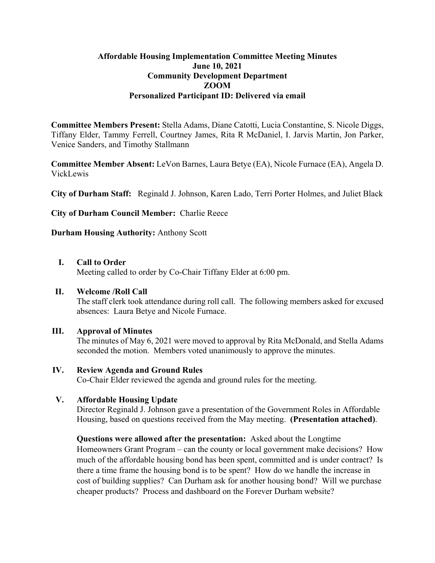## **Affordable Housing Implementation Committee Meeting Minutes June 10, 2021 Community Development Department ZOOM Personalized Participant ID: Delivered via email**

**Committee Members Present:** Stella Adams, Diane Catotti, Lucia Constantine, S. Nicole Diggs, Tiffany Elder, Tammy Ferrell, Courtney James, Rita R McDaniel, I. Jarvis Martin, Jon Parker, Venice Sanders, and Timothy Stallmann

**Committee Member Absent:** LeVon Barnes, Laura Betye (EA), Nicole Furnace (EA), Angela D. VickLewis

**City of Durham Staff:** Reginald J. Johnson, Karen Lado, Terri Porter Holmes, and Juliet Black

**City of Durham Council Member:** Charlie Reece

**Durham Housing Authority:** Anthony Scott

## **I. Call to Order**

Meeting called to order by Co-Chair Tiffany Elder at 6:00 pm.

### **II. Welcome /Roll Call**

The staff clerk took attendance during roll call. The following members asked for excused absences: Laura Betye and Nicole Furnace.

### **III. Approval of Minutes**

The minutes of May 6, 2021 were moved to approval by Rita McDonald, and Stella Adams seconded the motion. Members voted unanimously to approve the minutes.

### **IV. Review Agenda and Ground Rules**

Co-Chair Elder reviewed the agenda and ground rules for the meeting.

# **V. Affordable Housing Update**

Director Reginald J. Johnson gave a presentation of the Government Roles in Affordable Housing, based on questions received from the May meeting. **(Presentation attached)**.

**Questions were allowed after the presentation:** Asked about the Longtime Homeowners Grant Program – can the county or local government make decisions? How much of the affordable housing bond has been spent, committed and is under contract? Is there a time frame the housing bond is to be spent? How do we handle the increase in cost of building supplies? Can Durham ask for another housing bond? Will we purchase cheaper products? Process and dashboard on the Forever Durham website?